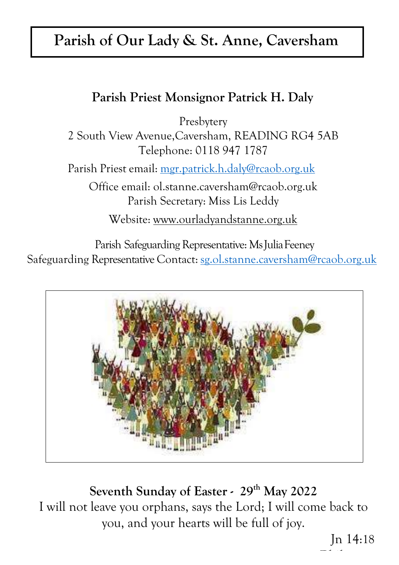# **Parish of Our Lady & St. Anne, Caversham**

# **Parish Priest Monsignor Patrick H. Daly**

Presbytery

2 South View Avenue,Caversham, READING RG4 5AB Telephone: 0118 947 1787

Parish Priest email: [mgr.patrick.h.daly@rcaob.org.uk](mailto:mgr.patrick.h.daly@rcaob.org.uk)

Office email: [ol.stanne.caversham@rcaob.org.uk](mailto:ol.stanne.caversham@rcaob.org.uk) Parish Secretary: Miss Lis Leddy

Website: [www.ourladyandstanne.org.uk](http://www.ourladyandstanne.org.uk/)

Parish Safeguarding Representative: Ms Julia Feeney Safeguarding Representative Contact: [sg.ol.stanne.caversham@rcaob.org.uk](mailto:sg.ol.stanne.caversham@rcaob.org.uk)



**Seventh Sunday of Easter - 29 th May 2022** I will not leave you orphans, says the Lord; I will come back to you, and your hearts will be full of joy.

> Jn 14:18 **Phil 2, 8-9**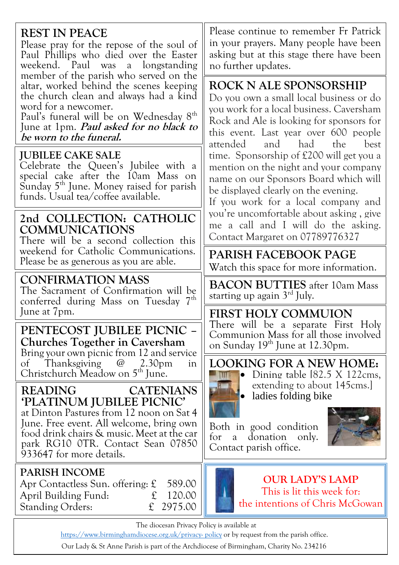## **REST IN PEACE**

Please pray for the repose of the soul of Paul Phillips who died over the Easter weekend. Paul was a longstanding member of the parish who served on the altar, worked behind the scenes keeping the church clean and always had a kind word for a newcomer.

Paul's funeral will be on Wednesday 8<sup>th</sup> June at 1pm. **Paul asked for no black to be worn to the funeral.**

#### **JUBILEE CAKE SALE**

Celebrate the Queen's Jubilee with a special cake after the 10am Mass on Sunday 5<sup>th</sup> June. Money raised for parish funds. Usual tea/coffee available.

#### **2nd COLLECTION: CATHOLIC COMMUNICATIONS**

There will be a second collection this weekend for Catholic Communications. weekend for Catholic Communications. **PARISH FACEBOOK PAGE**<br>Please be as generous as you are able.

#### **CONFIRMATION MASS**

The Sacrament of Confirmation will be conferred during Mass on Tuesday 7<sup>th</sup> June at 7pm. **FIRST HOLY COMMUION**

#### **PENTECOST JUBILEE PICNIC – Churches Together in Caversham**

Bring your own picnic from 12 and service of Thanksgiving @ 2.30pm in Christchurch Meadow on 5<sup>th</sup> June.

#### **READING CATENIANS 'PLATINUM JUBILEE PICNIC'**

at Dinton Pastures from 12 noon on Sat 4 June. Free event. All welcome, bring own food drink chairs & music. Meet at the car park RG10 0TR. Contact Sean 07850 933647 for more details.

#### **PARISH INCOME**

Apr Contactless Sun. offering: £ 589.00 April Building Fund: £ 120.00 Standing Orders: £ 2975.00

Please continue to remember Fr Patrick in your prayers. Many people have been asking but at this stage there have been no further updates.

# **ROCK N ALE SPONSORSHIP**

Do you own a small local business or do you work for a local business. Caversham Rock and Ale is looking for sponsors for this event. Last year over 600 people attended and had the best time. Sponsorship of £200 will get you a mention on the night and your company name on our Sponsors Board which will be displayed clearly on the evening.

If you work for a local company and you're uncomfortable about asking , give me a call and I will do the asking. Contact Margaret on 07789776327

Watch this space for more information.

**BACON BUTTIES** after 10am Mass starting up again  $3<sup>rd</sup>$  July.

There will be a separate First Holy Communion Mass for all those involved on Sunday 19<sup>th</sup> June at 12.30pm.

**LOOKING FOR A NEW HOME:**



 $\blacksquare$  Dining table [82.5 X 122cms, extending to about 145cms.] • ladies folding bike

Both in good condition for a donation only. Contact parish office.



#### **OUR LADY'S LAMP** This is lit this week for: the intentions of Chris McGowan

The diocesan Privacy Policy is available at

http[s://www.birminghamdiocese.org.uk/privacy-](http://www.birminghamdiocese.org.uk/privacy-policy) [policy](http://www.birminghamdiocese.org.uk/privacy-policy) or by request from the parish office.

Our Lady & St Anne Parish is part of the Archdiocese of Birmingham, Charity No. 234216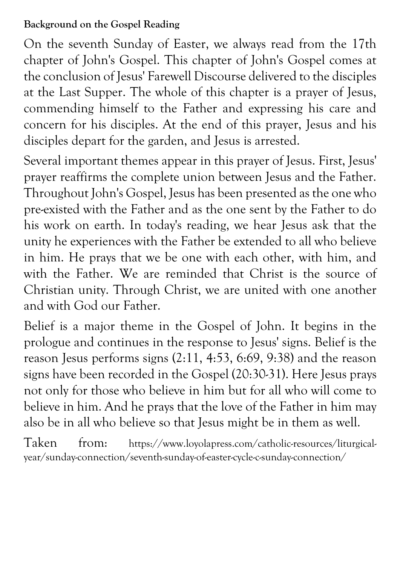### **Background on the Gospel Reading**

On the seventh Sunday of Easter, we always read from the 17th chapter of John's Gospel. This chapter of John's Gospel comes at the conclusion of Jesus' Farewell Discourse delivered to the disciples at the Last Supper. The whole of this chapter is a prayer of Jesus, commending himself to the Father and expressing his care and concern for his disciples. At the end of this prayer, Jesus and his disciples depart for the garden, and Jesus is arrested.

Several important themes appear in this prayer of Jesus. First, Jesus' prayer reaffirms the complete union between Jesus and the Father. Throughout John's Gospel, Jesus has been presented as the one who pre-existed with the Father and as the one sent by the Father to do his work on earth. In today's reading, we hear Jesus ask that the unity he experiences with the Father be extended to all who believe in him. He prays that we be one with each other, with him, and with the Father. We are reminded that Christ is the source of Christian unity. Through Christ, we are united with one another and with God our Father.

Belief is a major theme in the Gospel of John. It begins in the prologue and continues in the response to Jesus' signs. Belief is the reason Jesus performs signs (2:11, 4:53, 6:69, 9:38) and the reason signs have been recorded in the Gospel (20:30-31). Here Jesus prays not only for those who believe in him but for all who will come to believe in him. And he prays that the love of the Father in him may also be in all who believe so that Jesus might be in them as well.

Taken from: https://www.loyolapress.com/catholic-resources/liturgicalyear/sunday-connection/seventh-sunday-of-easter-cycle-c-sunday-connection/